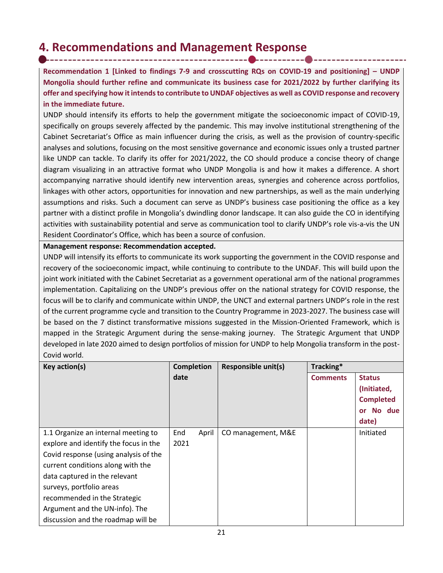## **4. Recommendations and Management Response**

**Recommendation 1 [Linked to findings 7-9 and crosscutting RQs on COVID-19 and positioning] – UNDP Mongolia should further refine and communicate its business case for 2021/2022 by further clarifying its offer and specifying how it intends to contribute to UNDAF objectives as well as COVID response and recovery in the immediate future.** 

UNDP should intensify its efforts to help the government mitigate the socioeconomic impact of COVID-19, specifically on groups severely affected by the pandemic. This may involve institutional strengthening of the Cabinet Secretariat's Office as main influencer during the crisis, as well as the provision of country-specific analyses and solutions, focusing on the most sensitive governance and economic issues only a trusted partner like UNDP can tackle. To clarify its offer for 2021/2022, the CO should produce a concise theory of change diagram visualizing in an attractive format who UNDP Mongolia is and how it makes a difference. A short accompanying narrative should identify new intervention areas, synergies and coherence across portfolios, linkages with other actors, opportunities for innovation and new partnerships, as well as the main underlying assumptions and risks. Such a document can serve as UNDP's business case positioning the office as a key partner with a distinct profile in Mongolia's dwindling donor landscape. It can also guide the CO in identifying activities with sustainability potential and serve as communication tool to clarify UNDP's role vis-a-vis the UN Resident Coordinator's Office, which has been a source of confusion.

**Management response: Recommendation accepted.** 

UNDP will intensify its efforts to communicate its work supporting the government in the COVID response and recovery of the socioeconomic impact, while continuing to contribute to the UNDAF. This will build upon the joint work initiated with the Cabinet Secretariat as a government operational arm of the national programmes implementation. Capitalizing on the UNDP's previous offer on the national strategy for COVID response, the focus will be to clarify and communicate within UNDP, the UNCT and external partners UNDP's role in the rest of the current programme cycle and transition to the Country Programme in 2023-2027. The business case will be based on the 7 distinct transformative missions suggested in the Mission-Oriented Framework, which is mapped in the Strategic Argument during the sense-making journey. The Strategic Argument that UNDP developed in late 2020 aimed to design portfolios of mission for UNDP to help Mongolia transform in the post-Covid world.

| Key action(s)                         | <b>Completion</b> | <b>Responsible unit(s)</b> | Tracking*       |                     |
|---------------------------------------|-------------------|----------------------------|-----------------|---------------------|
|                                       | date              |                            | <b>Comments</b> | <b>Status</b>       |
|                                       |                   |                            |                 | (Initiated,         |
|                                       |                   |                            |                 | <b>Completed</b>    |
|                                       |                   |                            |                 | No due<br><b>or</b> |
|                                       |                   |                            |                 | date)               |
| 1.1 Organize an internal meeting to   | End<br>April      | CO management, M&E         |                 | Initiated           |
| explore and identify the focus in the | 2021              |                            |                 |                     |
| Covid response (using analysis of the |                   |                            |                 |                     |
| current conditions along with the     |                   |                            |                 |                     |
| data captured in the relevant         |                   |                            |                 |                     |
| surveys, portfolio areas              |                   |                            |                 |                     |
| recommended in the Strategic          |                   |                            |                 |                     |
| Argument and the UN-info). The        |                   |                            |                 |                     |
| discussion and the roadmap will be    |                   |                            |                 |                     |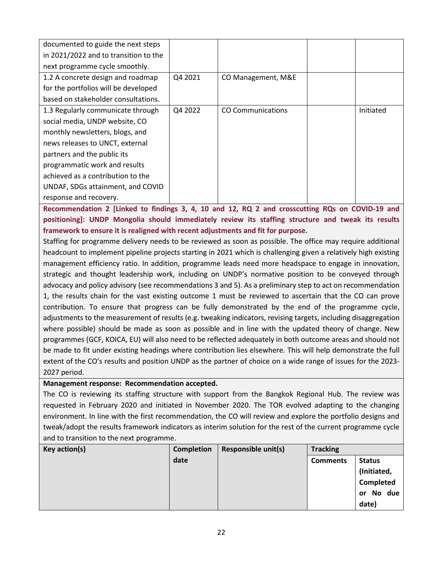| documented to guide the next steps    |         |                          |           |
|---------------------------------------|---------|--------------------------|-----------|
| in 2021/2022 and to transition to the |         |                          |           |
| next programme cycle smoothly.        |         |                          |           |
| 1.2 A concrete design and roadmap     | Q4 2021 | CO Management, M&E       |           |
| for the portfolios will be developed  |         |                          |           |
| based on stakeholder consultations.   |         |                          |           |
| 1.3 Regularly communicate through     | Q4 2022 | <b>CO Communications</b> | Initiated |
| social media, UNDP website, CO        |         |                          |           |
| monthly newsletters, blogs, and       |         |                          |           |
| news releases to UNCT, external       |         |                          |           |
| partners and the public its           |         |                          |           |
| programmatic work and results         |         |                          |           |
| achieved as a contribution to the     |         |                          |           |
| UNDAF, SDGs attainment, and COVID     |         |                          |           |
| response and recovery.                |         |                          |           |

**Recommendation 2 [Linked to findings 3, 4, 10 and 12, RQ 2 and crosscutting RQs on COVID-19 and positioning]: UNDP Mongolia should immediately review its staffing structure and tweak its results framework to ensure it is realigned with recent adjustments and fit for purpose.**

Staffing for programme delivery needs to be reviewed as soon as possible. The office may require additional headcount to implement pipeline projects starting in 2021 which is challenging given a relatively high existing management efficiency ratio. In addition, programme leads need more headspace to engage in innovation, strategic and thought leadership work, including on UNDP's normative position to be conveyed through advocacy and policy advisory (see recommendations 3 and 5). As a preliminary step to act on recommendation 1, the results chain for the vast existing outcome 1 must be reviewed to ascertain that the CO can prove contribution. To ensure that progress can be fully demonstrated by the end of the programme cycle, adjustments to the measurement of results (e.g. tweaking indicators, revising targets, including disaggregation where possible) should be made as soon as possible and in line with the updated theory of change. New programmes (GCF, KOICA, EU) will also need to be reflected adequately in both outcome areas and should not be made to fit under existing headings where contribution lies elsewhere. This will help demonstrate the full extent of the CO's results and position UNDP as the partner of choice on a wide range of issues for the 2023- 2027 period.

**Management response: Recommendation accepted.** 

The CO is reviewing its staffing structure with support from the Bangkok Regional Hub. The review was requested in February 2020 and initiated in November 2020. The TOR evolved adapting to the changing environment. In line with the first recommendation, the CO will review and explore the portfolio designs and tweak/adopt the results framework indicators as interim solution for the rest of the current programme cycle and to transition to the next programme.

| Key action(s) | <b>Completion</b> | Responsible unit(s) | <b>Tracking</b> |                     |
|---------------|-------------------|---------------------|-----------------|---------------------|
|               | date              |                     | <b>Comments</b> | <b>Status</b>       |
|               |                   |                     |                 | (Initiated,         |
|               |                   |                     |                 | Completed           |
|               |                   |                     |                 | No due<br><b>or</b> |
|               |                   |                     |                 | date)               |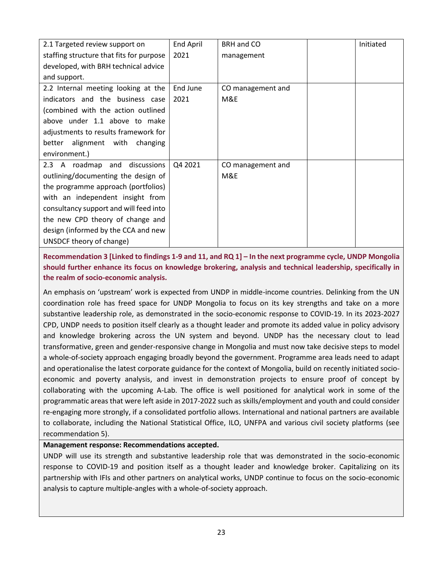| 2.1 Targeted review support on           | <b>End April</b> | BRH and CO        | Initiated |
|------------------------------------------|------------------|-------------------|-----------|
| staffing structure that fits for purpose | 2021             | management        |           |
| developed, with BRH technical advice     |                  |                   |           |
| and support.                             |                  |                   |           |
| 2.2 Internal meeting looking at the      | End June         | CO management and |           |
| indicators and the business case         | 2021             | M&E               |           |
| (combined with the action outlined       |                  |                   |           |
| above under 1.1 above to make            |                  |                   |           |
| adjustments to results framework for     |                  |                   |           |
| alignment with<br>better<br>changing     |                  |                   |           |
| environment.)                            |                  |                   |           |
| 2.3 A roadmap and discussions            | Q4 2021          | CO management and |           |
| outlining/documenting the design of      |                  | M&E               |           |
| the programme approach (portfolios)      |                  |                   |           |
| with an independent insight from         |                  |                   |           |
| consultancy support and will feed into   |                  |                   |           |
| the new CPD theory of change and         |                  |                   |           |
| design (informed by the CCA and new      |                  |                   |           |
| UNSDCF theory of change)                 |                  |                   |           |
|                                          |                  |                   |           |

**Recommendation 3 [Linked to findings 1-9 and 11, and RQ 1] – In the next programme cycle, UNDP Mongolia should further enhance its focus on knowledge brokering, analysis and technical leadership, specifically in the realm of socio-economic analysis.**

An emphasis on 'upstream' work is expected from UNDP in middle-income countries. Delinking from the UN coordination role has freed space for UNDP Mongolia to focus on its key strengths and take on a more substantive leadership role, as demonstrated in the socio-economic response to COVID-19. In its 2023-2027 CPD, UNDP needs to position itself clearly as a thought leader and promote its added value in policy advisory and knowledge brokering across the UN system and beyond. UNDP has the necessary clout to lead transformative, green and gender-responsive change in Mongolia and must now take decisive steps to model a whole-of-society approach engaging broadly beyond the government. Programme area leads need to adapt and operationalise the latest corporate guidance for the context of Mongolia, build on recently initiated socioeconomic and poverty analysis, and invest in demonstration projects to ensure proof of concept by collaborating with the upcoming A-Lab. The office is well positioned for analytical work in some of the programmatic areas that were left aside in 2017-2022 such as skills/employment and youth and could consider re-engaging more strongly, if a consolidated portfolio allows. International and national partners are available to collaborate, including the National Statistical Office, ILO, UNFPA and various civil society platforms (see recommendation 5).

## **Management response: Recommendations accepted.**

UNDP will use its strength and substantive leadership role that was demonstrated in the socio-economic response to COVID-19 and position itself as a thought leader and knowledge broker. Capitalizing on its partnership with IFIs and other partners on analytical works, UNDP continue to focus on the socio-economic analysis to capture multiple-angles with a whole-of-society approach.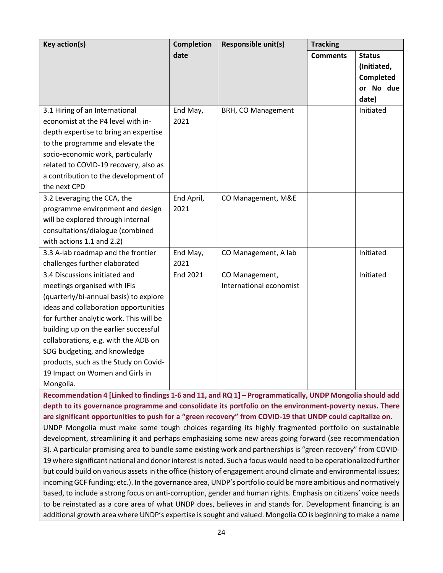| Key action(s)                           | <b>Completion</b> | Responsible unit(s)     | <b>Tracking</b> |                  |
|-----------------------------------------|-------------------|-------------------------|-----------------|------------------|
|                                         | date              |                         | <b>Comments</b> | <b>Status</b>    |
|                                         |                   |                         |                 | (Initiated,      |
|                                         |                   |                         |                 | <b>Completed</b> |
|                                         |                   |                         |                 | or No due        |
|                                         |                   |                         |                 | date)            |
| 3.1 Hiring of an International          | End May,          | BRH, CO Management      |                 | Initiated        |
| economist at the P4 level with in-      | 2021              |                         |                 |                  |
| depth expertise to bring an expertise   |                   |                         |                 |                  |
| to the programme and elevate the        |                   |                         |                 |                  |
| socio-economic work, particularly       |                   |                         |                 |                  |
| related to COVID-19 recovery, also as   |                   |                         |                 |                  |
| a contribution to the development of    |                   |                         |                 |                  |
| the next CPD                            |                   |                         |                 |                  |
| 3.2 Leveraging the CCA, the             | End April,        | CO Management, M&E      |                 |                  |
| programme environment and design        | 2021              |                         |                 |                  |
| will be explored through internal       |                   |                         |                 |                  |
| consultations/dialogue (combined        |                   |                         |                 |                  |
| with actions 1.1 and 2.2)               |                   |                         |                 |                  |
| 3.3 A-lab roadmap and the frontier      | End May,          | CO Management, A lab    |                 | Initiated        |
| challenges further elaborated           | 2021              |                         |                 |                  |
| 3.4 Discussions initiated and           | <b>End 2021</b>   | CO Management,          |                 | Initiated        |
| meetings organised with IFIs            |                   | International economist |                 |                  |
| (quarterly/bi-annual basis) to explore  |                   |                         |                 |                  |
| ideas and collaboration opportunities   |                   |                         |                 |                  |
| for further analytic work. This will be |                   |                         |                 |                  |
| building up on the earlier successful   |                   |                         |                 |                  |
| collaborations, e.g. with the ADB on    |                   |                         |                 |                  |
| SDG budgeting, and knowledge            |                   |                         |                 |                  |
| products, such as the Study on Covid-   |                   |                         |                 |                  |
| 19 Impact on Women and Girls in         |                   |                         |                 |                  |
| Mongolia.                               |                   |                         |                 |                  |

**Recommendation 4 [Linked to findings 1-6 and 11, and RQ 1] – Programmatically, UNDP Mongolia should add depth to its governance programme and consolidate its portfolio on the environment-poverty nexus. There are significant opportunities to push for a "green recovery" from COVID-19 that UNDP could capitalize on.** 

UNDP Mongolia must make some tough choices regarding its highly fragmented portfolio on sustainable development, streamlining it and perhaps emphasizing some new areas going forward (see recommendation 3). A particular promising area to bundle some existing work and partnerships is "green recovery" from COVID-19 where significant national and donor interest is noted. Such a focus would need to be operationalized further but could build on various assets in the office (history of engagement around climate and environmental issues; incoming GCF funding; etc.). In the governance area, UNDP's portfolio could be more ambitious and normatively based, to include a strong focus on anti-corruption, gender and human rights. Emphasis on citizens' voice needs to be reinstated as a core area of what UNDP does, believes in and stands for. Development financing is an additional growth area where UNDP's expertise is sought and valued. Mongolia CO is beginning to make a name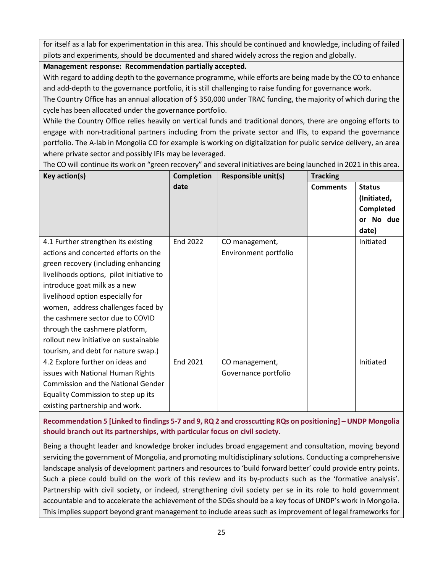for itself as a lab for experimentation in this area. This should be continued and knowledge, including of failed pilots and experiments, should be documented and shared widely across the region and globally.

## **Management response: Recommendation partially accepted.**

With regard to adding depth to the governance programme, while efforts are being made by the CO to enhance and add-depth to the governance portfolio, it is still challenging to raise funding for governance work.

The Country Office has an annual allocation of \$ 350,000 under TRAC funding, the majority of which during the cycle has been allocated under the governance portfolio.

While the Country Office relies heavily on vertical funds and traditional donors, there are ongoing efforts to engage with non-traditional partners including from the private sector and IFIs, to expand the governance portfolio. The A-lab in Mongolia CO for example is working on digitalization for public service delivery, an area where private sector and possibly IFIs may be leveraged.

The CO will continue its work on "green recovery" and several initiatives are being launched in 2021 in this area.

| Key action(s)                                                                                                                                                                                                                                                                                                                                                                                                                  | <b>Completion</b> | <b>Responsible unit(s)</b>              | <b>Tracking</b> |                                                                                  |
|--------------------------------------------------------------------------------------------------------------------------------------------------------------------------------------------------------------------------------------------------------------------------------------------------------------------------------------------------------------------------------------------------------------------------------|-------------------|-----------------------------------------|-----------------|----------------------------------------------------------------------------------|
|                                                                                                                                                                                                                                                                                                                                                                                                                                | date              |                                         | <b>Comments</b> | <b>Status</b><br>(Initiated,<br><b>Completed</b><br>No due<br><b>or</b><br>date) |
| 4.1 Further strengthen its existing<br>actions and concerted efforts on the<br>green recovery (including enhancing<br>livelihoods options, pilot initiative to<br>introduce goat milk as a new<br>livelihood option especially for<br>women, address challenges faced by<br>the cashmere sector due to COVID<br>through the cashmere platform,<br>rollout new initiative on sustainable<br>tourism, and debt for nature swap.) | End 2022          | CO management,<br>Environment portfolio |                 | Initiated                                                                        |
| 4.2 Explore further on ideas and<br>issues with National Human Rights<br><b>Commission and the National Gender</b><br>Equality Commission to step up its<br>existing partnership and work.                                                                                                                                                                                                                                     | End 2021          | CO management,<br>Governance portfolio  |                 | Initiated                                                                        |

**Recommendation 5 [Linked to findings 5-7 and 9, RQ 2 and crosscutting RQs on positioning] – UNDP Mongolia should branch out its partnerships, with particular focus on civil society.**

Being a thought leader and knowledge broker includes broad engagement and consultation, moving beyond servicing the government of Mongolia, and promoting multidisciplinary solutions. Conducting a comprehensive landscape analysis of development partners and resources to 'build forward better' could provide entry points. Such a piece could build on the work of this review and its by-products such as the 'formative analysis'. Partnership with civil society, or indeed, strengthening civil society per se in its role to hold government accountable and to accelerate the achievement of the SDGs should be a key focus of UNDP's work in Mongolia. This implies support beyond grant management to include areas such as improvement of legal frameworks for